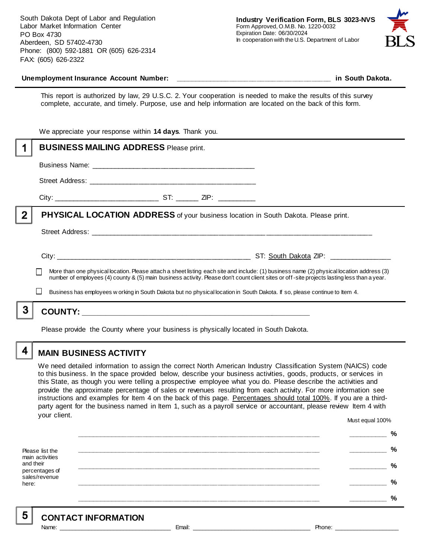South Dakota Dept of Labor and Regulation Labor Market Information Center PO Box 4730 Aberdeen, SD 57402-4730 Phone: (800) 592-1881 OR (605) 626-2314 FAX: (605) 626-2322



#### **Unemployment Insurance Account Number: \_\_\_\_\_\_\_\_\_\_\_\_\_\_\_\_\_\_\_\_\_\_\_\_\_\_\_\_\_\_\_\_\_\_\_\_\_\_\_\_ in South Dakota.**

This report is authorized by law, 29 U.S.C. 2. Your cooperation is needed to make the results of this survey complete, accurate, and timely. Purpose, use and help information are located on the back of this form.

|              | We appreciate your response within 14 days. Thank you.                                                                                      |  |  |                                                                                                                                           |
|--------------|---------------------------------------------------------------------------------------------------------------------------------------------|--|--|-------------------------------------------------------------------------------------------------------------------------------------------|
|              | <b>BUSINESS MAILING ADDRESS Please print.</b>                                                                                               |  |  |                                                                                                                                           |
|              |                                                                                                                                             |  |  |                                                                                                                                           |
|              |                                                                                                                                             |  |  |                                                                                                                                           |
|              |                                                                                                                                             |  |  |                                                                                                                                           |
| $\mathbf{2}$ | <b>PHYSICAL LOCATION ADDRESS</b> of your business location in South Dakota. Please print.                                                   |  |  |                                                                                                                                           |
|              |                                                                                                                                             |  |  |                                                                                                                                           |
|              |                                                                                                                                             |  |  | More than one physical location. Please attach a sheet listing each site and include: (1) business name (2) physical location address (3) |
|              | number of employees (4) county & (5) main business activity. Please don't count client sites or off-site projects lasting less than a year. |  |  |                                                                                                                                           |
|              |                                                                                                                                             |  |  | Business has employees w orking in South Dakota but no physical location in South Dakota. If so, please continue to Item 4.               |
|              |                                                                                                                                             |  |  |                                                                                                                                           |
|              |                                                                                                                                             |  |  |                                                                                                                                           |

Please provide the County where your business is physically located in South Dakota.

4

5

# **MAIN BUSINESS ACTIVITY**

We need detailed information to assign the correct North American Industry Classification System (NAICS) code to this business. In the space provided below, describe your business activities, goods, products, or services in this State, as though you were telling a prospective employee what you do. Please describe the activities and provide the approximate percentage of sales or revenues resulting from each activity. For more information see instructions and examples for Item 4 on the back of this page. Percentages should total 100%. If you are a thirdparty agent for the business named in Item 1, such as a payroll service or accountant, please review Item 4 with your client. Must equal 100%

Please list the main activities and their percentages of sales/revenue here: **\_\_\_\_\_\_\_\_\_\_\_\_\_\_\_\_\_\_\_\_\_\_\_\_\_\_\_\_\_\_\_\_\_\_\_\_\_\_\_\_\_\_\_\_\_\_\_\_\_\_\_\_\_\_\_\_\_\_\_\_\_\_ \_\_\_\_\_\_\_\_\_\_ % \_\_\_\_\_\_\_\_\_\_\_\_\_\_\_\_\_\_\_\_\_\_\_\_\_\_\_\_\_\_\_\_\_\_\_\_\_\_\_\_\_\_\_\_\_\_\_\_\_\_\_\_\_\_\_\_\_\_\_\_\_\_ \_\_\_\_\_\_\_\_\_\_ % \_\_\_\_\_\_\_\_\_\_\_\_\_\_\_\_\_\_\_\_\_\_\_\_\_\_\_\_\_\_\_\_\_\_\_\_\_\_\_\_\_\_\_\_\_\_\_\_\_\_\_\_\_\_\_\_\_\_\_\_\_\_ \_\_\_\_\_\_\_\_\_\_ % \_\_\_\_\_\_\_\_\_\_\_\_\_\_\_\_\_\_\_\_\_\_\_\_\_\_\_\_\_\_\_\_\_\_\_\_\_\_\_\_\_\_\_\_\_\_\_\_\_\_\_\_\_\_\_\_\_\_\_\_\_\_ \_\_\_\_\_\_\_\_\_\_ % \_\_\_\_\_\_\_\_\_\_\_\_\_\_\_\_\_\_\_\_\_\_\_\_\_\_\_\_\_\_\_\_\_\_\_\_\_\_\_\_\_\_\_\_\_\_\_\_\_\_\_\_\_\_\_\_\_\_\_\_\_\_ \_\_\_\_\_\_\_\_\_\_ %**